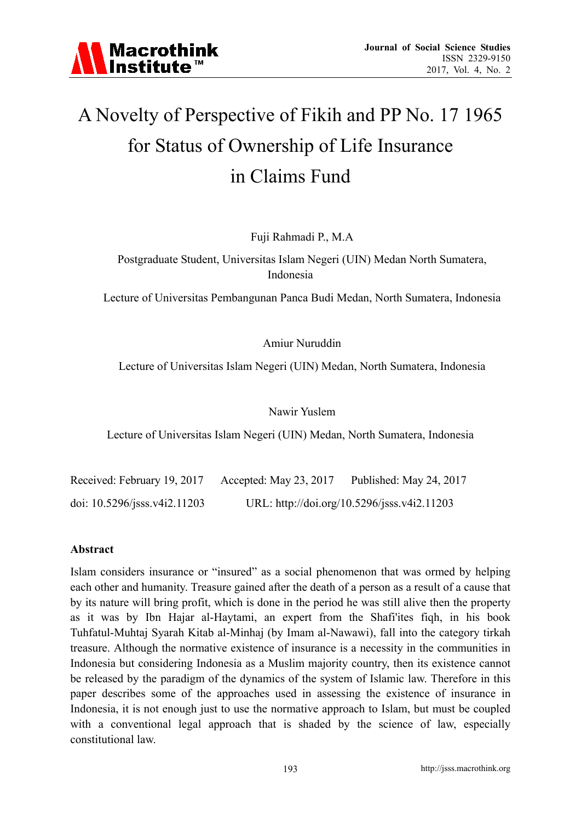

# A Novelty of Perspective of Fikih and PP No. 17 1965 for Status of Ownership of Life Insurance in Claims Fund

Fuji Rahmadi P., M.A

Postgraduate Student, Universitas Islam Negeri (UIN) Medan North Sumatera, Indonesia

Lecture of Universitas Pembangunan Panca Budi Medan, North Sumatera, Indonesia

Amiur Nuruddin

Lecture of Universitas Islam Negeri (UIN) Medan, North Sumatera, Indonesia

Nawir Yuslem

Lecture of Universitas Islam Negeri (UIN) Medan, North Sumatera, Indonesia

Received: February 19, 2017 Accepted: May 23, 2017 Published: May 24, 2017 doi: 10.5296/jsss.v4i2.11203 URL: http://doi.org/10.5296/jsss.v4i2.11203

#### **Abstract**

Islam considers insurance or "insured" as a social phenomenon that was ormed by helping each other and humanity. Treasure gained after the death of a person as a result of a cause that by its nature will bring profit, which is done in the period he was still alive then the property as it was by Ibn Hajar al-Haytami, an expert from the Shafi'ites fiqh, in his book Tuhfatul-Muhtaj Syarah Kitab al-Minhaj (by Imam al-Nawawi), fall into the category tirkah treasure. Although the normative existence of insurance is a necessity in the communities in Indonesia but considering Indonesia as a Muslim majority country, then its existence cannot be released by the paradigm of the dynamics of the system of Islamic law. Therefore in this paper describes some of the approaches used in assessing the existence of insurance in Indonesia, it is not enough just to use the normative approach to Islam, but must be coupled with a conventional legal approach that is shaded by the science of law, especially constitutional law.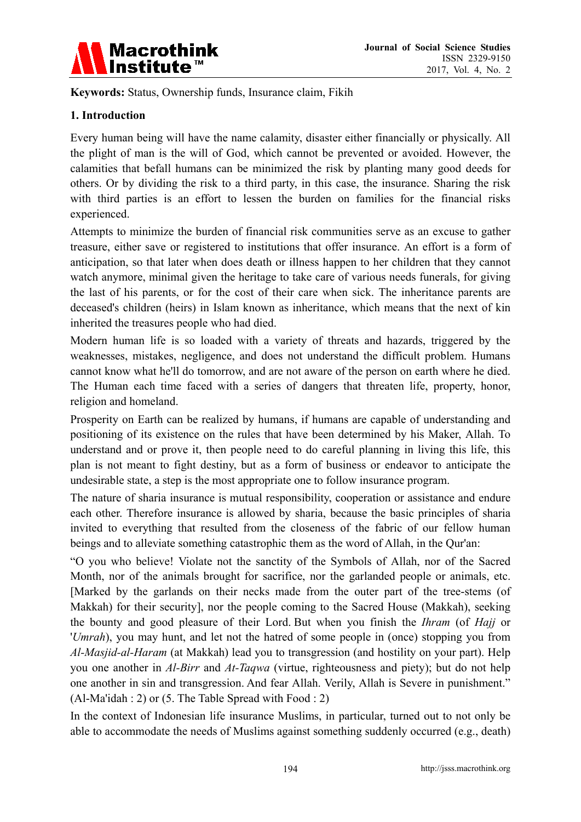

**Keywords:** Status, Ownership funds, Insurance claim, Fikih

### **1. Introduction**

Every human being will have the name calamity, disaster either financially or physically. All the plight of man is the will of God, which cannot be prevented or avoided. However, the calamities that befall humans can be minimized the risk by planting many good deeds for others. Or by dividing the risk to a third party, in this case, the insurance. Sharing the risk with third parties is an effort to lessen the burden on families for the financial risks experienced.

Attempts to minimize the burden of financial risk communities serve as an excuse to gather treasure, either save or registered to institutions that offer insurance. An effort is a form of anticipation, so that later when does death or illness happen to her children that they cannot watch anymore, minimal given the heritage to take care of various needs funerals, for giving the last of his parents, or for the cost of their care when sick. The inheritance parents are deceased's children (heirs) in Islam known as inheritance, which means that the next of kin inherited the treasures people who had died.

Modern human life is so loaded with a variety of threats and hazards, triggered by the weaknesses, mistakes, negligence, and does not understand the difficult problem. Humans cannot know what he'll do tomorrow, and are not aware of the person on earth where he died. The Human each time faced with a series of dangers that threaten life, property, honor, religion and homeland.

Prosperity on Earth can be realized by humans, if humans are capable of understanding and positioning of its existence on the rules that have been determined by his Maker, Allah. To understand and or prove it, then people need to do careful planning in living this life, this plan is not meant to fight destiny, but as a form of business or endeavor to anticipate the undesirable state, a step is the most appropriate one to follow insurance program.

The nature of sharia insurance is mutual responsibility, cooperation or assistance and endure each other. Therefore insurance is allowed by sharia, because the basic principles of sharia invited to everything that resulted from the closeness of the fabric of our fellow human beings and to alleviate something catastrophic them as the word of Allah, in the Qur'an:

"O you who believe! Violate not the sanctity of the Symbols of Allah, nor of the Sacred Month, nor of the animals brought for sacrifice, nor the garlanded people or animals, etc. [Marked by the garlands on their necks made from the outer part of the tree-stems (of Makkah) for their security], nor the people coming to the Sacred House (Makkah), seeking the bounty and good pleasure of their Lord. But when you finish the *Ihram* (of *Hajj* or '*Umrah*), you may hunt, and let not the hatred of some people in (once) stopping you from *Al-Masjid-al-Haram* (at Makkah) lead you to transgression (and hostility on your part). Help you one another in *Al-Birr* and *At-Taqwa* (virtue, righteousness and piety); but do not help one another in sin and transgression. And fear Allah. Verily, Allah is Severe in punishment." (Al-Ma'idah : 2) or (5. The Table Spread with Food : 2)

In the context of Indonesian life insurance Muslims, in particular, turned out to not only be able to accommodate the needs of Muslims against something suddenly occurred (e.g., death)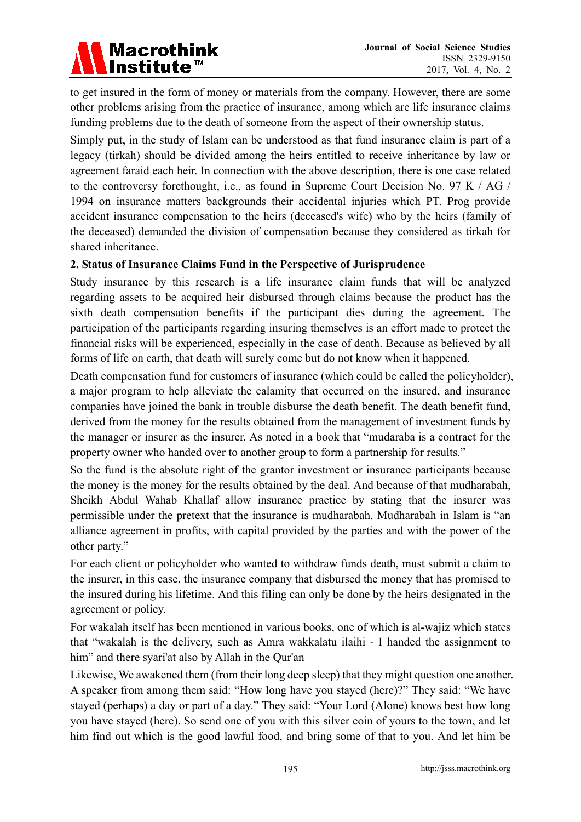# **Macrothink** Institute<sup>™</sup>

to get insured in the form of money or materials from the company. However, there are some other problems arising from the practice of insurance, among which are life insurance claims funding problems due to the death of someone from the aspect of their ownership status.

Simply put, in the study of Islam can be understood as that fund insurance claim is part of a legacy (tirkah) should be divided among the heirs entitled to receive inheritance by law or agreement faraid each heir. In connection with the above description, there is one case related to the controversy forethought, i.e., as found in Supreme Court Decision No. 97 K / AG / 1994 on insurance matters backgrounds their accidental injuries which PT. Prog provide accident insurance compensation to the heirs (deceased's wife) who by the heirs (family of the deceased) demanded the division of compensation because they considered as tirkah for shared inheritance.

# **2. Status of Insurance Claims Fund in the Perspective of Jurisprudence**

Study insurance by this research is a life insurance claim funds that will be analyzed regarding assets to be acquired heir disbursed through claims because the product has the sixth death compensation benefits if the participant dies during the agreement. The participation of the participants regarding insuring themselves is an effort made to protect the financial risks will be experienced, especially in the case of death. Because as believed by all forms of life on earth, that death will surely come but do not know when it happened.

Death compensation fund for customers of insurance (which could be called the policyholder), a major program to help alleviate the calamity that occurred on the insured, and insurance companies have joined the bank in trouble disburse the death benefit. The death benefit fund, derived from the money for the results obtained from the management of investment funds by the manager or insurer as the insurer. As noted in a book that "mudaraba is a contract for the property owner who handed over to another group to form a partnership for results."

So the fund is the absolute right of the grantor investment or insurance participants because the money is the money for the results obtained by the deal. And because of that mudharabah, Sheikh Abdul Wahab Khallaf allow insurance practice by stating that the insurer was permissible under the pretext that the insurance is mudharabah. Mudharabah in Islam is "an alliance agreement in profits, with capital provided by the parties and with the power of the other party."

For each client or policyholder who wanted to withdraw funds death, must submit a claim to the insurer, in this case, the insurance company that disbursed the money that has promised to the insured during his lifetime. And this filing can only be done by the heirs designated in the agreement or policy.

For wakalah itself has been mentioned in various books, one of which is al-wajiz which states that "wakalah is the delivery, such as Amra wakkalatu ilaihi - I handed the assignment to him" and there syari'at also by Allah in the Qur'an

Likewise, We awakened them (from their long deep sleep) that they might question one another. A speaker from among them said: "How long have you stayed (here)?" They said: "We have stayed (perhaps) a day or part of a day." They said: "Your Lord (Alone) knows best how long you have stayed (here). So send one of you with this silver coin of yours to the town, and let him find out which is the good lawful food, and bring some of that to you. And let him be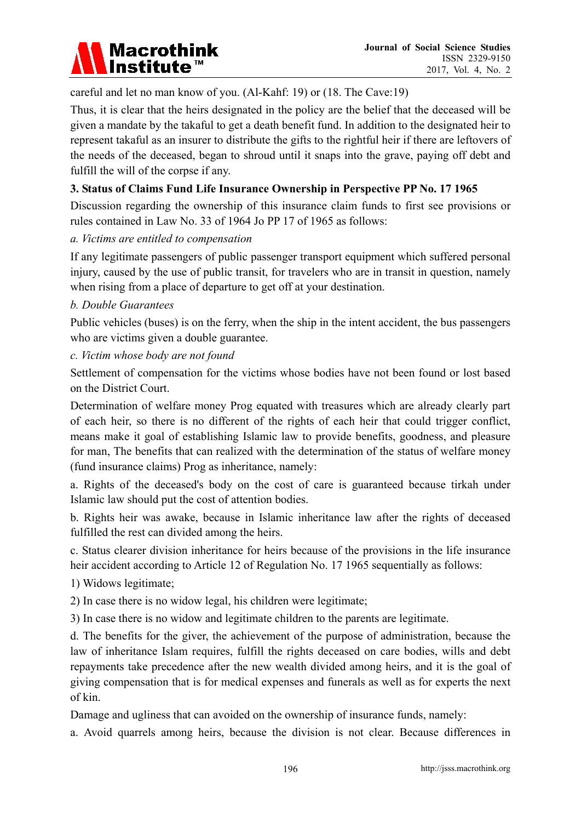

careful and let no man know of you. (Al-Kahf: 19) or (18. The Cave:19)

Thus, it is clear that the heirs designated in the policy are the belief that the deceased will be given a mandate by the takaful to get a death benefit fund. In addition to the designated heir to represent takaful as an insurer to distribute the gifts to the rightful heir if there are leftovers of the needs of the deceased, began to shroud until it snaps into the grave, paying off debt and fulfill the will of the corpse if any.

## **3. Status of Claims Fund Life Insurance Ownership in Perspective PP No. 17 1965**

Discussion regarding the ownership of this insurance claim funds to first see provisions or rules contained in Law No. 33 of 1964 Jo PP 17 of 1965 as follows:

#### *a. Victims are entitled to compensation*

If any legitimate passengers of public passenger transport equipment which suffered personal injury, caused by the use of public transit, for travelers who are in transit in question, namely when rising from a place of departure to get off at your destination.

#### *b. Double Guarantees*

Public vehicles (buses) is on the ferry, when the ship in the intent accident, the bus passengers who are victims given a double guarantee.

#### *c. Victim whose body are not found*

Settlement of compensation for the victims whose bodies have not been found or lost based on the District Court.

Determination of welfare money Prog equated with treasures which are already clearly part of each heir, so there is no different of the rights of each heir that could trigger conflict, means make it goal of establishing Islamic law to provide benefits, goodness, and pleasure for man, The benefits that can realized with the determination of the status of welfare money (fund insurance claims) Prog as inheritance, namely:

a. Rights of the deceased's body on the cost of care is guaranteed because tirkah under Islamic law should put the cost of attention bodies.

b. Rights heir was awake, because in Islamic inheritance law after the rights of deceased fulfilled the rest can divided among the heirs.

c. Status clearer division inheritance for heirs because of the provisions in the life insurance heir accident according to Article 12 of Regulation No. 17 1965 sequentially as follows:

1) Widows legitimate;

2) In case there is no widow legal, his children were legitimate;

3) In case there is no widow and legitimate children to the parents are legitimate.

d. The benefits for the giver, the achievement of the purpose of administration, because the law of inheritance Islam requires, fulfill the rights deceased on care bodies, wills and debt repayments take precedence after the new wealth divided among heirs, and it is the goal of giving compensation that is for medical expenses and funerals as well as for experts the next of kin.

Damage and ugliness that can avoided on the ownership of insurance funds, namely:

a. Avoid quarrels among heirs, because the division is not clear. Because differences in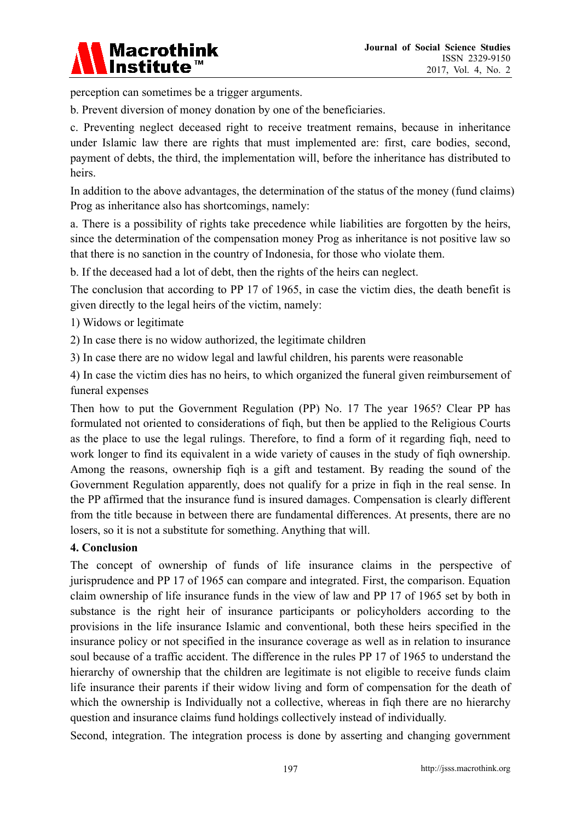

perception can sometimes be a trigger arguments.

b. Prevent diversion of money donation by one of the beneficiaries.

c. Preventing neglect deceased right to receive treatment remains, because in inheritance under Islamic law there are rights that must implemented are: first, care bodies, second, payment of debts, the third, the implementation will, before the inheritance has distributed to heirs.

In addition to the above advantages, the determination of the status of the money (fund claims) Prog as inheritance also has shortcomings, namely:

a. There is a possibility of rights take precedence while liabilities are forgotten by the heirs, since the determination of the compensation money Prog as inheritance is not positive law so that there is no sanction in the country of Indonesia, for those who violate them.

b. If the deceased had a lot of debt, then the rights of the heirs can neglect.

The conclusion that according to PP 17 of 1965, in case the victim dies, the death benefit is given directly to the legal heirs of the victim, namely:

1) Widows or legitimate

2) In case there is no widow authorized, the legitimate children

3) In case there are no widow legal and lawful children, his parents were reasonable

4) In case the victim dies has no heirs, to which organized the funeral given reimbursement of funeral expenses

Then how to put the Government Regulation (PP) No. 17 The year 1965? Clear PP has formulated not oriented to considerations of fiqh, but then be applied to the Religious Courts as the place to use the legal rulings. Therefore, to find a form of it regarding fiqh, need to work longer to find its equivalent in a wide variety of causes in the study of fiqh ownership. Among the reasons, ownership fiqh is a gift and testament. By reading the sound of the Government Regulation apparently, does not qualify for a prize in fiqh in the real sense. In the PP affirmed that the insurance fund is insured damages. Compensation is clearly different from the title because in between there are fundamental differences. At presents, there are no losers, so it is not a substitute for something. Anything that will.

#### **4. Conclusion**

The concept of ownership of funds of life insurance claims in the perspective of jurisprudence and PP 17 of 1965 can compare and integrated. First, the comparison. Equation claim ownership of life insurance funds in the view of law and PP 17 of 1965 set by both in substance is the right heir of insurance participants or policyholders according to the provisions in the life insurance Islamic and conventional, both these heirs specified in the insurance policy or not specified in the insurance coverage as well as in relation to insurance soul because of a traffic accident. The difference in the rules PP 17 of 1965 to understand the hierarchy of ownership that the children are legitimate is not eligible to receive funds claim life insurance their parents if their widow living and form of compensation for the death of which the ownership is Individually not a collective, whereas in figh there are no hierarchy question and insurance claims fund holdings collectively instead of individually.

Second, integration. The integration process is done by asserting and changing government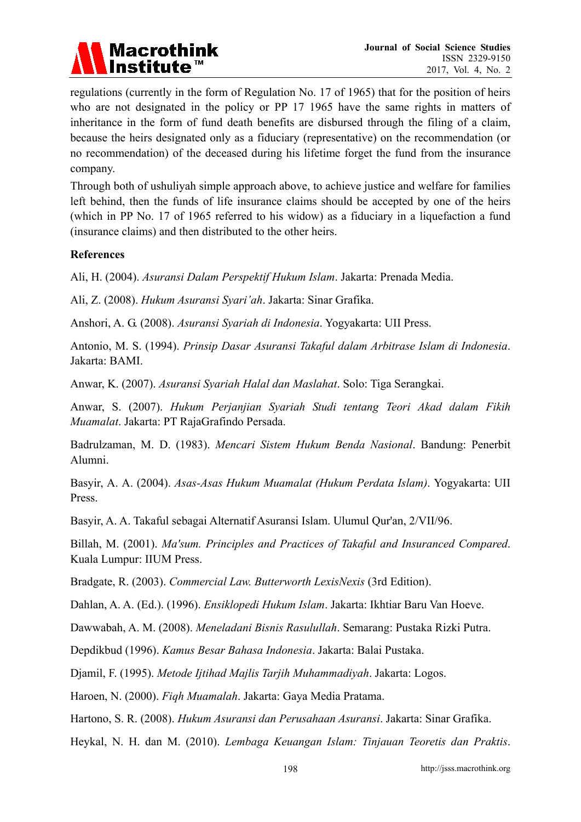

regulations (currently in the form of Regulation No. 17 of 1965) that for the position of heirs who are not designated in the policy or PP 17 1965 have the same rights in matters of inheritance in the form of fund death benefits are disbursed through the filing of a claim, because the heirs designated only as a fiduciary (representative) on the recommendation (or no recommendation) of the deceased during his lifetime forget the fund from the insurance company.

Through both of ushuliyah simple approach above, to achieve justice and welfare for families left behind, then the funds of life insurance claims should be accepted by one of the heirs (which in PP No. 17 of 1965 referred to his widow) as a fiduciary in a liquefaction a fund (insurance claims) and then distributed to the other heirs.

#### **References**

Ali, H. (2004). *Asuransi Dalam Perspektif Hukum Islam*. Jakarta: Prenada Media.

Ali, Z. (2008). *Hukum Asuransi Syari'ah*. Jakarta: Sinar Grafika.

Anshori, A. G. (2008). *Asuransi Syariah di Indonesia*. Yogyakarta: UII Press.

Antonio, M. S. (1994). *Prinsip Dasar Asuransi Takaful dalam Arbitrase Islam di Indonesia*. Jakarta: BAMI.

Anwar, K. (2007). *Asuransi Syariah Halal dan Maslahat*. Solo: Tiga Serangkai.

Anwar, S. (2007). *Hukum Perjanjian Syariah Studi tentang Teori Akad dalam Fikih Muamalat*. Jakarta: PT RajaGrafindo Persada.

Badrulzaman, M. D. (1983). *Mencari Sistem Hukum Benda Nasional*. Bandung: Penerbit Alumni.

Basyir, A. A. (2004). *Asas-Asas Hukum Muamalat (Hukum Perdata Islam)*. Yogyakarta: UII Press.

Basyir, A. A. Takaful sebagai Alternatif Asuransi Islam. Ulumul Qur'an, 2/VII/96.

Billah, M. (2001). *Ma'sum. Principles and Practices of Takaful and Insuranced Compared*. Kuala Lumpur: IIUM Press.

Bradgate, R. (2003). *Commercial Law. Butterworth LexisNexis* (3rd Edition).

Dahlan, A. A. (Ed.). (1996). *Ensiklopedi Hukum Islam*. Jakarta: Ikhtiar Baru Van Hoeve.

Dawwabah, A. M. (2008). *Meneladani Bisnis Rasulullah*. Semarang: Pustaka Rizki Putra.

Depdikbud (1996). *Kamus Besar Bahasa Indonesia*. Jakarta: Balai Pustaka.

Djamil, F. (1995). *Metode Ijtihad Majlis Tarjih Muhammadiyah*. Jakarta: Logos.

Haroen, N. (2000). *Fiqh Muamalah*. Jakarta: Gaya Media Pratama.

Hartono, S. R. (2008). *Hukum Asuransi dan Perusahaan Asuransi*. Jakarta: Sinar Grafika.

Heykal, N. H. dan M. (2010). *Lembaga Keuangan Islam: Tinjauan Teoretis dan Praktis*.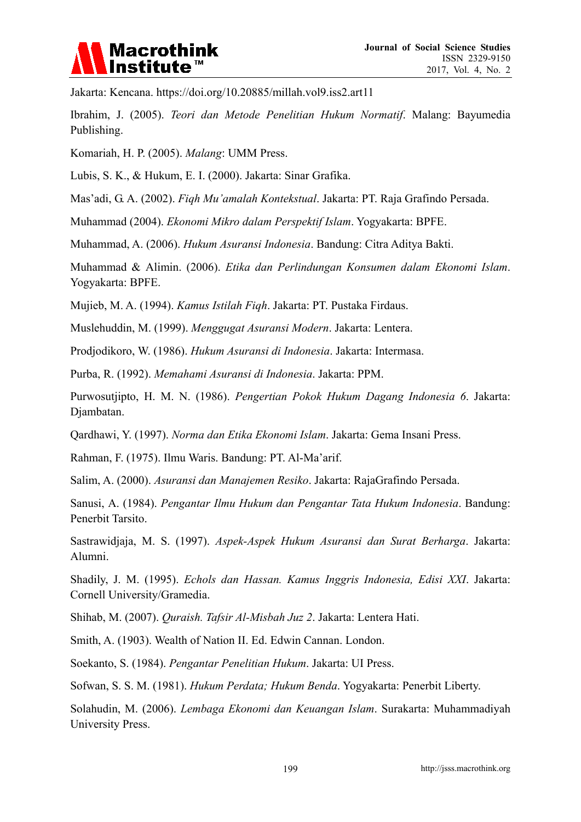

Jakarta: Kencana. https://doi.org/10.20885/millah.vol9.iss2.art11

Ibrahim, J. (2005). *Teori dan Metode Penelitian Hukum Normatif*. Malang: Bayumedia Publishing.

Komariah, H. P. (2005). *Malang*: UMM Press.

Lubis, S. K., & Hukum, E. I. (2000). Jakarta: Sinar Grafika.

Mas'adi, G. A. (2002). *Fiqh Mu'amalah Kontekstual*. Jakarta: PT. Raja Grafindo Persada.

Muhammad (2004). *Ekonomi Mikro dalam Perspektif Islam*. Yogyakarta: BPFE.

Muhammad, A. (2006). *Hukum Asuransi Indonesia*. Bandung: Citra Aditya Bakti.

Muhammad & Alimin. (2006). *Etika dan Perlindungan Konsumen dalam Ekonomi Islam*. Yogyakarta: BPFE.

Mujieb, M. A. (1994). *Kamus Istilah Fiqh*. Jakarta: PT. Pustaka Firdaus.

Muslehuddin, M. (1999). *Menggugat Asuransi Modern*. Jakarta: Lentera.

Prodjodikoro, W. (1986). *Hukum Asuransi di Indonesia*. Jakarta: Intermasa.

Purba, R. (1992). *Memahami Asuransi di Indonesia*. Jakarta: PPM.

Purwosutjipto, H. M. N. (1986). *Pengertian Pokok Hukum Dagang Indonesia 6*. Jakarta: Djambatan.

Qardhawi, Y. (1997). *Norma dan Etika Ekonomi Islam*. Jakarta: Gema Insani Press.

Rahman, F. (1975). Ilmu Waris. Bandung: PT. Al-Ma'arif.

Salim, A. (2000). *Asuransi dan Manajemen Resiko*. Jakarta: RajaGrafindo Persada.

Sanusi, A. (1984). *Pengantar Ilmu Hukum dan Pengantar Tata Hukum Indonesia*. Bandung: Penerbit Tarsito.

Sastrawidjaja, M. S. (1997). *Aspek-Aspek Hukum Asuransi dan Surat Berharga*. Jakarta: Alumni.

Shadily, J. M. (1995). *Echols dan Hassan. Kamus Inggris Indonesia, Edisi XXI*. Jakarta: Cornell University/Gramedia.

Shihab, M. (2007). *Quraish. Tafsir Al-Misbah Juz 2*. Jakarta: Lentera Hati.

Smith, A. (1903). Wealth of Nation II. Ed. Edwin Cannan. London.

Soekanto, S. (1984). *Pengantar Penelitian Hukum*. Jakarta: UI Press.

Sofwan, S. S. M. (1981). *Hukum Perdata; Hukum Benda*. Yogyakarta: Penerbit Liberty.

Solahudin, M. (2006). *Lembaga Ekonomi dan Keuangan Islam*. Surakarta: Muhammadiyah University Press.